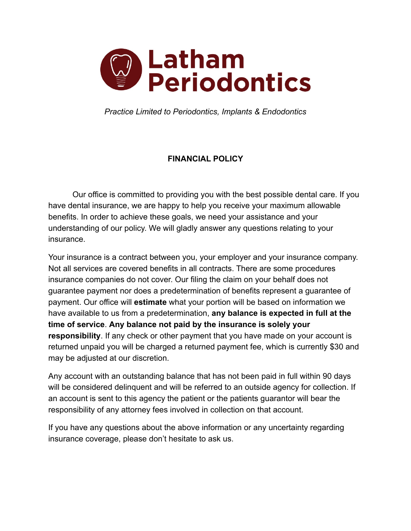

*Practice Limited to Periodontics, Implants & Endodontics*

## **FINANCIAL POLICY**

Our office is committed to providing you with the best possible dental care. If you have dental insurance, we are happy to help you receive your maximum allowable benefits. In order to achieve these goals, we need your assistance and your understanding of our policy. We will gladly answer any questions relating to your insurance.

Your insurance is a contract between you, your employer and your insurance company. Not all services are covered benefits in all contracts. There are some procedures insurance companies do not cover. Our filing the claim on your behalf does not guarantee payment nor does a predetermination of benefits represent a guarantee of payment. Our office will **estimate** what your portion will be based on information we have available to us from a predetermination, **any balance is expected in full at the time of service**. **Any balance not paid by the insurance is solely your responsibility**. If any check or other payment that you have made on your account is returned unpaid you will be charged a returned payment fee, which is currently \$30 and may be adjusted at our discretion.

Any account with an outstanding balance that has not been paid in full within 90 days will be considered delinquent and will be referred to an outside agency for collection. If an account is sent to this agency the patient or the patients guarantor will bear the responsibility of any attorney fees involved in collection on that account.

If you have any questions about the above information or any uncertainty regarding insurance coverage, please don't hesitate to ask us.